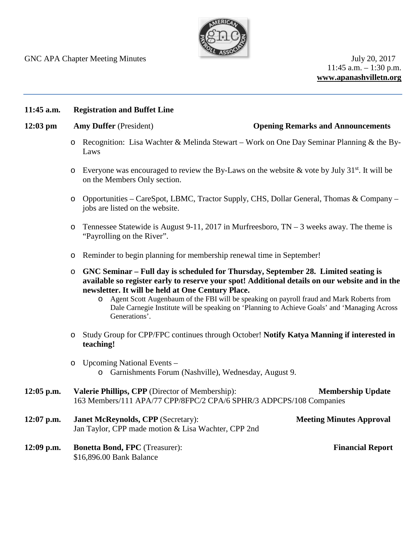

 $11:45$  a.m.  $-1:30$  p.m. **www.apanashvilletn.org**

### **11:45 a.m. Registration and Buffet Line**

### **12:03 pm Amy Duffer** (President) **Opening Remarks and Announcements**

- o Recognition: Lisa Wachter & Melinda Stewart Work on One Day Seminar Planning & the By-Laws
- $\circ$  Everyone was encouraged to review the By-Laws on the website & vote by July 31<sup>st</sup>. It will be on the Members Only section.
- o Opportunities CareSpot, LBMC, Tractor Supply, CHS, Dollar General, Thomas & Company jobs are listed on the website.
- $\circ$  Tennessee Statewide is August 9-11, 2017 in Murfreesboro, TN 3 weeks away. The theme is "Payrolling on the River".
- o Reminder to begin planning for membership renewal time in September!
- o **GNC Seminar – Full day is scheduled for Thursday, September 28. Limited seating is available so register early to reserve your spot! Additional details on our website and in the newsletter. It will be held at One Century Place.**
	- o Agent Scott Augenbaum of the FBI will be speaking on payroll fraud and Mark Roberts from Dale Carnegie Institute will be speaking on 'Planning to Achieve Goals' and 'Managing Across Generations'.
- o Study Group for CPP/FPC continues through October! **Notify Katya Manning if interested in teaching!**
- o Upcoming National Events o Garnishments Forum (Nashville), Wednesday, August 9.
- **12:05 p.m. Valerie Phillips, CPP** (Director of Membership): **Membership Update** 163 Members/111 APA/77 CPP/8FPC/2 CPA/6 SPHR/3 ADPCPS/108 Companies
- **12:07 p.m. Janet McReynolds, CPP** (Secretary): **Meeting Minutes Approval** Jan Taylor, CPP made motion & Lisa Wachter, CPP 2nd
- **12:09 p.m. Bonetta Bond, FPC** (Treasurer): **Financial Report** \$16,896.00 Bank Balance